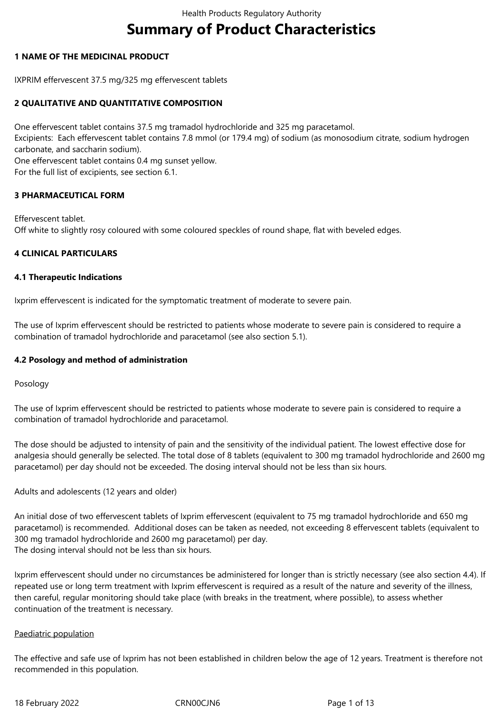# **Summary of Product Characteristics**

# **1 NAME OF THE MEDICINAL PRODUCT**

IXPRIM effervescent 37.5 mg/325 mg effervescent tablets

# **2 QUALITATIVE AND QUANTITATIVE COMPOSITION**

One effervescent tablet contains 37.5 mg tramadol hydrochloride and 325 mg paracetamol. Excipients: Each effervescent tablet contains 7.8 mmol (or 179.4 mg) of sodium (as monosodium citrate, sodium hydrogen carbonate, and saccharin sodium). One effervescent tablet contains 0.4 mg sunset yellow. For the full list of excipients, see section 6.1.

#### **3 PHARMACEUTICAL FORM**

Effervescent tablet. Off white to slightly rosy coloured with some coloured speckles of round shape, flat with beveled edges.

#### **4 CLINICAL PARTICULARS**

#### **4.1 Therapeutic Indications**

Ixprim effervescent is indicated for the symptomatic treatment of moderate to severe pain.

The use of Ixprim effervescent should be restricted to patients whose moderate to severe pain is considered to require a combination of tramadol hydrochloride and paracetamol (see also section 5.1).

#### **4.2 Posology and method of administration**

Posology

The use of Ixprim effervescent should be restricted to patients whose moderate to severe pain is considered to require a combination of tramadol hydrochloride and paracetamol.

The dose should be adjusted to intensity of pain and the sensitivity of the individual patient. The lowest effective dose for analgesia should generally be selected. The total dose of 8 tablets (equivalent to 300 mg tramadol hydrochloride and 2600 mg paracetamol) per day should not be exceeded. The dosing interval should not be less than six hours.

Adults and adolescents (12 years and older)

An initial dose of two effervescent tablets of Ixprim effervescent (equivalent to 75 mg tramadol hydrochloride and 650 mg paracetamol) is recommended. Additional doses can be taken as needed, not exceeding 8 effervescent tablets (equivalent to 300 mg tramadol hydrochloride and 2600 mg paracetamol) per day. The dosing interval should not be less than six hours.

Ixprim effervescent should under no circumstances be administered for longer than is strictly necessary (see also section 4.4). If repeated use or long term treatment with Ixprim effervescent is required as a result of the nature and severity of the illness, then careful, regular monitoring should take place (with breaks in the treatment, where possible), to assess whether continuation of the treatment is necessary.

#### Paediatric population

The effective and safe use of Ixprim has not been established in children below the age of 12 years. Treatment is therefore not recommended in this population.

18 February 2022 CRN00CJN6 Page 1 of 13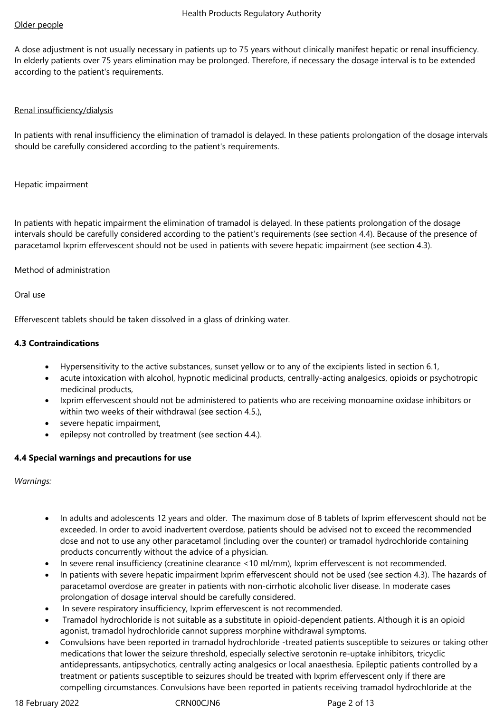# Older people

A dose adjustment is not usually necessary in patients up to 75 years without clinically manifest hepatic or renal insufficiency. In elderly patients over 75 years elimination may be prolonged. Therefore, if necessary the dosage interval is to be extended according to the patient's requirements.

# Renal insufficiency/dialysis

In patients with renal insufficiency the elimination of tramadol is delayed. In these patients prolongation of the dosage intervals should be carefully considered according to the patient's requirements.

# Hepatic impairment

In patients with hepatic impairment the elimination of tramadol is delayed. In these patients prolongation of the dosage intervals should be carefully considered according to the patient's requirements (see section 4.4). Because of the presence of paracetamol Ixprim effervescent should not be used in patients with severe hepatic impairment (see section 4.3).

# Method of administration

# Oral use

Effervescent tablets should be taken dissolved in a glass of drinking water.

# **4.3 Contraindications**

- Hypersensitivity to the active substances, sunset yellow or to any of the excipients listed in section 6.1,
- acute intoxication with alcohol, hypnotic medicinal products, centrally-acting analgesics, opioids or psychotropic medicinal products,
- Ixprim effervescent should not be administered to patients who are receiving monoamine oxidase inhibitors or within two weeks of their withdrawal (see section 4.5.),
- severe hepatic impairment,
- epilepsy not controlled by treatment (see section 4.4.).

# **4.4 Special warnings and precautions for use**

*Warnings:*

- In adults and adolescents 12 years and older. The maximum dose of 8 tablets of Ixprim effervescent should not be exceeded. In order to avoid inadvertent overdose, patients should be advised not to exceed the recommended dose and not to use any other paracetamol (including over the counter) or tramadol hydrochloride containing products concurrently without the advice of a physician.
- In severe renal insufficiency (creatinine clearance <10 ml/mm), Ixprim effervescent is not recommended.
- In patients with severe hepatic impairment Ixprim effervescent should not be used (see section 4.3). The hazards of paracetamol overdose are greater in patients with non-cirrhotic alcoholic liver disease. In moderate cases prolongation of dosage interval should be carefully considered.
- In severe respiratory insufficiency, Ixprim effervescent is not recommended.
- Tramadol hydrochloride is not suitable as a substitute in opioid-dependent patients. Although it is an opioid agonist, tramadol hydrochloride cannot suppress morphine withdrawal symptoms.
- Convulsions have been reported in tramadol hydrochloride -treated patients susceptible to seizures or taking other medications that lower the seizure threshold, especially selective serotonin re-uptake inhibitors, tricyclic antidepressants, antipsychotics, centrally acting analgesics or local anaesthesia. Epileptic patients controlled by a treatment or patients susceptible to seizures should be treated with Ixprim effervescent only if there are compelling circumstances. Convulsions have been reported in patients receiving tramadol hydrochloride at the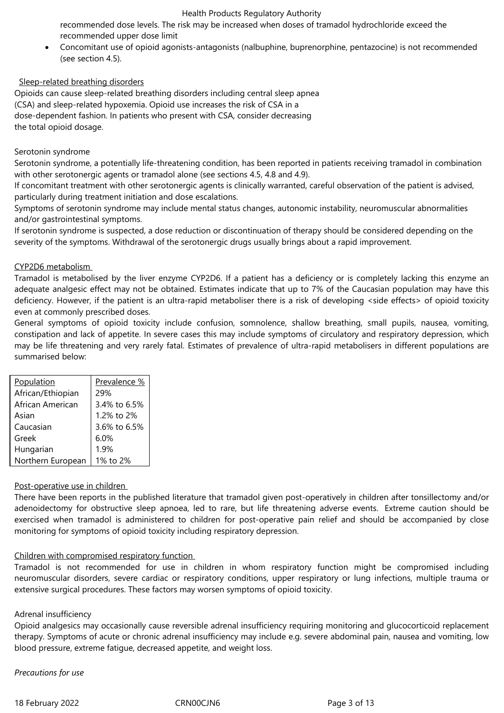recommended dose levels. The risk may be increased when doses of tramadol hydrochloride exceed the recommended upper dose limit

 Concomitant use of opioid agonists-antagonists (nalbuphine, buprenorphine, pentazocine) is not recommended (see section 4.5).

#### Sleep-related breathing disorders

Opioids can cause sleep-related breathing disorders including central sleep apnea (CSA) and sleep-related hypoxemia. Opioid use increases the risk of CSA in a dose-dependent fashion. In patients who present with CSA, consider decreasing the total opioid dosage.

#### Serotonin syndrome

Serotonin syndrome, a potentially life-threatening condition, has been reported in patients receiving tramadol in combination with other serotonergic agents or tramadol alone (see sections 4.5, 4.8 and 4.9).

If concomitant treatment with other serotonergic agents is clinically warranted, careful observation of the patient is advised, particularly during treatment initiation and dose escalations.

Symptoms of serotonin syndrome may include mental status changes, autonomic instability, neuromuscular abnormalities and/or gastrointestinal symptoms.

If serotonin syndrome is suspected, a dose reduction or discontinuation of therapy should be considered depending on the severity of the symptoms. Withdrawal of the serotonergic drugs usually brings about a rapid improvement.

#### CYP2D6 metabolism

Tramadol is metabolised by the liver enzyme CYP2D6. If a patient has a deficiency or is completely lacking this enzyme an adequate analgesic effect may not be obtained. Estimates indicate that up to 7% of the Caucasian population may have this deficiency. However, if the patient is an ultra-rapid metaboliser there is a risk of developing <side effects> of opioid toxicity even at commonly prescribed doses.

General symptoms of opioid toxicity include confusion, somnolence, shallow breathing, small pupils, nausea, vomiting, constipation and lack of appetite. In severe cases this may include symptoms of circulatory and respiratory depression, which may be life threatening and very rarely fatal. Estimates of prevalence of ultra-rapid metabolisers in different populations are summarised below:

| Population        | Prevalence % |
|-------------------|--------------|
| African/Ethiopian | 29%          |
| African American  | 3.4% to 6.5% |
| Asian             | 1.2% to 2%   |
| Caucasian         | 3.6% to 6.5% |
| Greek             | 6.0%         |
| Hungarian         | 1.9%         |
| Northern European | 1% to 2%     |

#### Post-operative use in children

There have been reports in the published literature that tramadol given post-operatively in children after tonsillectomy and/or adenoidectomy for obstructive sleep apnoea, led to rare, but life threatening adverse events. Extreme caution should be exercised when tramadol is administered to children for post-operative pain relief and should be accompanied by close monitoring for symptoms of opioid toxicity including respiratory depression.

#### Children with compromised respiratory function

Tramadol is not recommended for use in children in whom respiratory function might be compromised including neuromuscular disorders, severe cardiac or respiratory conditions, upper respiratory or lung infections, multiple trauma or extensive surgical procedures. These factors may worsen symptoms of opioid toxicity.

#### Adrenal insufficiency

Opioid analgesics may occasionally cause reversible adrenal insufficiency requiring monitoring and glucocorticoid replacement therapy. Symptoms of acute or chronic adrenal insufficiency may include e.g. severe abdominal pain, nausea and vomiting, low blood pressure, extreme fatigue, decreased appetite, and weight loss.

*Precautions for use* 

18 February 2022 CRN00CJN6 Page 3 of 13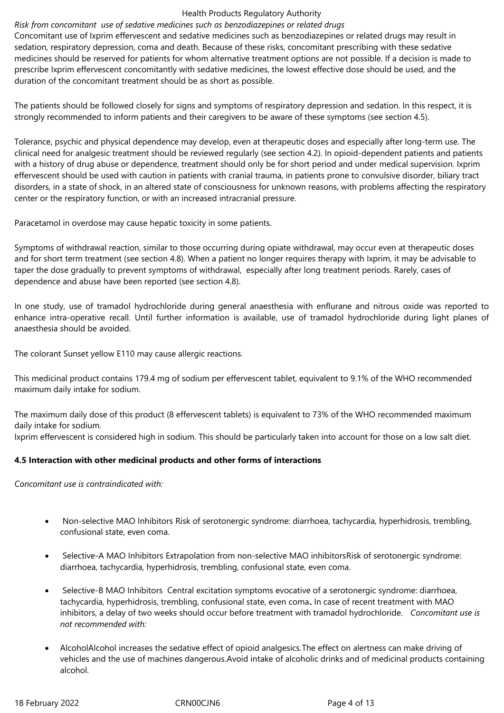#### *Risk from concomitant use of sedative medicines such as benzodiazepines or related drugs*

Concomitant use of Ixprim effervescent and sedative medicines such as benzodiazepines or related drugs may result in sedation, respiratory depression, coma and death. Because of these risks, concomitant prescribing with these sedative medicines should be reserved for patients for whom alternative treatment options are not possible. If a decision is made to prescribe Ixprim effervescent concomitantly with sedative medicines, the lowest effective dose should be used, and the duration of the concomitant treatment should be as short as possible.

The patients should be followed closely for signs and symptoms of respiratory depression and sedation. In this respect, it is strongly recommended to inform patients and their caregivers to be aware of these symptoms (see section 4.5).

Tolerance, psychic and physical dependence may develop, even at therapeutic doses and especially after long-term use. The clinical need for analgesic treatment should be reviewed regularly (see section 4.2). In opioid-dependent patients and patients with a history of drug abuse or dependence, treatment should only be for short period and under medical supervision. Ixprim effervescent should be used with caution in patients with cranial trauma, in patients prone to convulsive disorder, biliary tract disorders, in a state of shock, in an altered state of consciousness for unknown reasons, with problems affecting the respiratory center or the respiratory function, or with an increased intracranial pressure.

Paracetamol in overdose may cause hepatic toxicity in some patients.

Symptoms of withdrawal reaction, similar to those occurring during opiate withdrawal, may occur even at therapeutic doses and for short term treatment (see section 4.8). When a patient no longer requires therapy with Ixprim, it may be advisable to taper the dose gradually to prevent symptoms of withdrawal, especially after long treatment periods. Rarely, cases of dependence and abuse have been reported (see section 4.8).

In one study, use of tramadol hydrochloride during general anaesthesia with enflurane and nitrous oxide was reported to enhance intra-operative recall. Until further information is available, use of tramadol hydrochloride during light planes of anaesthesia should be avoided.

The colorant Sunset yellow E110 may cause allergic reactions.

This medicinal product contains 179.4 mg of sodium per effervescent tablet, equivalent to 9.1% of the WHO recommended maximum daily intake for sodium.

The maximum daily dose of this product (8 effervescent tablets) is equivalent to 73% of the WHO recommended maximum daily intake for sodium.

Ixprim effervescent is considered high in sodium. This should be particularly taken into account for those on a low salt diet.

#### **4.5 Interaction with other medicinal products and other forms of interactions**

*Concomitant use is contraindicated with:*

- Non-selective MAO Inhibitors Risk of serotonergic syndrome: diarrhoea, tachycardia, hyperhidrosis, trembling, confusional state, even coma.
- Selective-A MAO Inhibitors Extrapolation from non-selective MAO inhibitorsRisk of serotonergic syndrome: diarrhoea, tachycardia, hyperhidrosis, trembling, confusional state, even coma.
- Selective-B MAO Inhibitors Central excitation symptoms evocative of a serotonergic syndrome: diarrhoea, tachycardia, hyperhidrosis, trembling, confusional state, even coma**.** In case of recent treatment with MAO inhibitors, a delay of two weeks should occur before treatment with tramadol hydrochloride. *Concomitant use is not recommended with:*
- AlcoholAlcohol increases the sedative effect of opioid analgesics.The effect on alertness can make driving of vehicles and the use of machines dangerous.Avoid intake of alcoholic drinks and of medicinal products containing alcohol.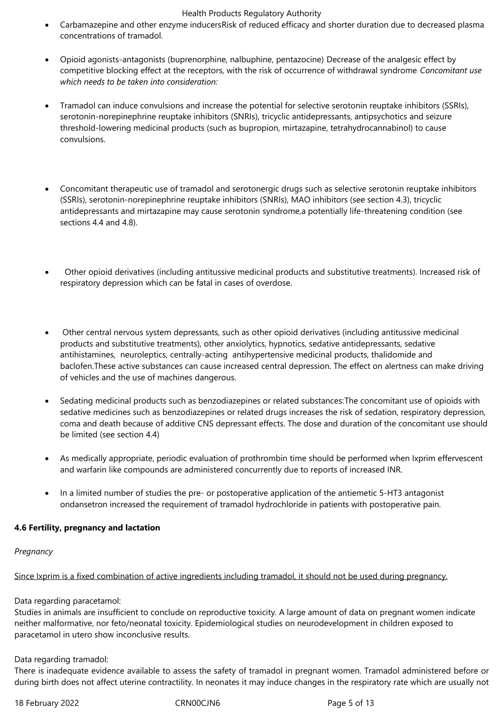- Carbamazepine and other enzyme inducersRisk of reduced efficacy and shorter duration due to decreased plasma concentrations of tramadol.
- Opioid agonists-antagonists (buprenorphine, nalbuphine, pentazocine) Decrease of the analgesic effect by competitive blocking effect at the receptors, with the risk of occurrence of withdrawal syndrome *Concomitant use which needs to be taken into consideration:*
- Tramadol can induce convulsions and increase the potential for selective serotonin reuptake inhibitors (SSRIs), serotonin-norepinephrine reuptake inhibitors (SNRIs), tricyclic antidepressants, antipsychotics and seizure threshold-lowering medicinal products (such as bupropion, mirtazapine, tetrahydrocannabinol) to cause convulsions.
- Concomitant therapeutic use of tramadol and serotonergic drugs such as selective serotonin reuptake inhibitors (SSRIs), serotonin-norepinephrine reuptake inhibitors (SNRIs), MAO inhibitors (see section 4.3), tricyclic antidepressants and mirtazapine may cause serotonin syndrome,a potentially life-threatening condition (see sections 4.4 and 4.8).
- Other opioid derivatives (including antitussive medicinal products and substitutive treatments). Increased risk of respiratory depression which can be fatal in cases of overdose.
- Other central nervous system depressants, such as other opioid derivatives (including antitussive medicinal products and substitutive treatments), other anxiolytics, hypnotics, sedative antidepressants, sedative antihistamines, neuroleptics, centrally-acting antihypertensive medicinal products, thalidomide and baclofen.These active substances can cause increased central depression. The effect on alertness can make driving of vehicles and the use of machines dangerous.
- Sedating medicinal products such as benzodiazepines or related substances:The concomitant use of opioids with sedative medicines such as benzodiazepines or related drugs increases the risk of sedation, respiratory depression, coma and death because of additive CNS depressant effects. The dose and duration of the concomitant use should be limited (see section 4.4)
- As medically appropriate, periodic evaluation of prothrombin time should be performed when Ixprim effervescent and warfarin like compounds are administered concurrently due to reports of increased INR.
- In a limited number of studies the pre- or postoperative application of the antiemetic 5-HT3 antagonist ondansetron increased the requirement of tramadol hydrochloride in patients with postoperative pain.

# **4.6 Fertility, pregnancy and lactation**

# *Pregnancy*

Since Ixprim is a fixed combination of active ingredients including tramadol, it should not be used during pregnancy.

#### Data regarding paracetamol:

Studies in animals are insufficient to conclude on reproductive toxicity. A large amount of data on pregnant women indicate neither malformative, nor feto/neonatal toxicity. Epidemiological studies on neurodevelopment in children exposed to paracetamol in utero show inconclusive results.

#### Data regarding tramadol:

There is inadequate evidence available to assess the safety of tramadol in pregnant women. Tramadol administered before or during birth does not affect uterine contractility. In neonates it may induce changes in the respiratory rate which are usually not

18 February 2022 **CRN00CJN6** CRN00CJN6 Page 5 of 13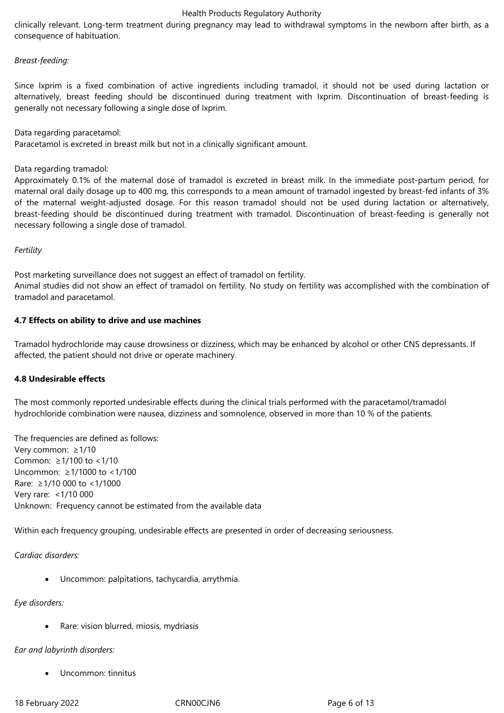clinically relevant. Long-term treatment during pregnancy may lead to withdrawal symptoms in the newborn after birth, as a consequence of habituation.

#### *Breast-feeding:*

Since Ixprim is a fixed combination of active ingredients including tramadol, it should not be used during lactation or alternatively, breast feeding should be discontinued during treatment with Ixprim. Discontinuation of breast-feeding is generally not necessary following a single dose of Ixprim.

Data regarding paracetamol:

Paracetamol is excreted in breast milk but not in a clinically significant amount.

Data regarding tramadol:

Approximately 0.1% of the maternal dose of tramadol is excreted in breast milk. In the immediate post-partum period, for maternal oral daily dosage up to 400 mg, this corresponds to a mean amount of tramadol ingested by breast-fed infants of 3% of the maternal weight-adjusted dosage. For this reason tramadol should not be used during lactation or alternatively, breast-feeding should be discontinued during treatment with tramadol. Discontinuation of breast-feeding is generally not necessary following a single dose of tramadol.

#### *Fertility*

Post marketing surveillance does not suggest an effect of tramadol on fertility.

Animal studies did not show an effect of tramadol on fertility. No study on fertility was accomplished with the combination of tramadol and paracetamol.

#### **4.7 Effects on ability to drive and use machines**

Tramadol hydrochloride may cause drowsiness or dizziness, which may be enhanced by alcohol or other CNS depressants. If affected, the patient should not drive or operate machinery.

#### **4.8 Undesirable effects**

The most commonly reported undesirable effects during the clinical trials performed with the paracetamol/tramadol hydrochloride combination were nausea, dizziness and somnolence, observed in more than 10 % of the patients.

The frequencies are defined as follows: Very common: ≥1/10 Common: ≥1/100 to <1/10 Uncommon: ≥1/1000 to <1/100 Rare: ≥1/10 000 to <1/1000 Very rare: <1/10 000 Unknown: Frequency cannot be estimated from the available data

Within each frequency grouping, undesirable effects are presented in order of decreasing seriousness.

*Cardiac disorders:* 

Uncommon: palpitations, tachycardia, arrythmia.

#### *Eye disorders:*

Rare: vision blurred, miosis, mydriasis

#### *Ear and labyrinth disorders:*

Uncommon: tinnitus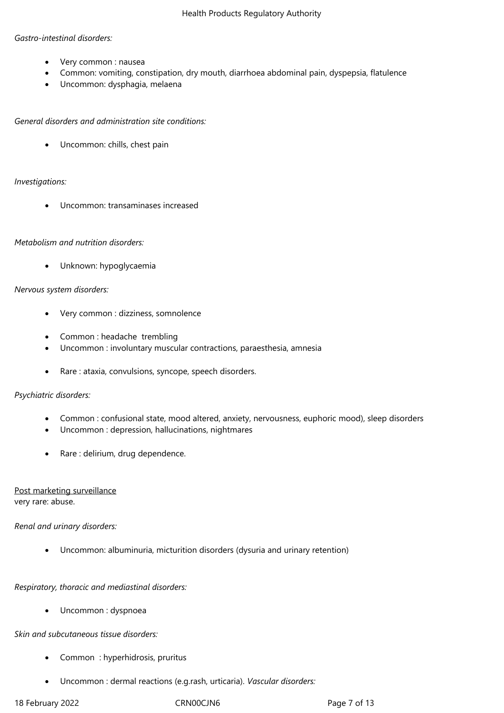# *Gastro-intestinal disorders:*

- Very common : nausea
- Common: vomiting, constipation, dry mouth, diarrhoea abdominal pain, dyspepsia, flatulence
- Uncommon: dysphagia, melaena

# *General disorders and administration site conditions:*

• Uncommon: chills, chest pain

# *Investigations:*

Uncommon: transaminases increased

# *Metabolism and nutrition disorders:*

Unknown: hypoglycaemia

#### *Nervous system disorders:*

- Very common : dizziness, somnolence
- Common : headache trembling
- Uncommon : involuntary muscular contractions, paraesthesia, amnesia
- Rare : ataxia, convulsions, syncope, speech disorders.

# *Psychiatric disorders:*

- Common : confusional state, mood altered, anxiety, nervousness, euphoric mood), sleep disorders
- Uncommon : depression, hallucinations, nightmares
- Rare : delirium, drug dependence.

#### Post marketing surveillance very rare: abuse.

#### *Renal and urinary disorders:*

Uncommon: albuminuria, micturition disorders (dysuria and urinary retention)

# *Respiratory, thoracic and mediastinal disorders:*

Uncommon : dyspnoea

# *Skin and subcutaneous tissue disorders:*

- Common : hyperhidrosis, pruritus
- Uncommon : dermal reactions (e.g.rash, urticaria). *Vascular disorders:*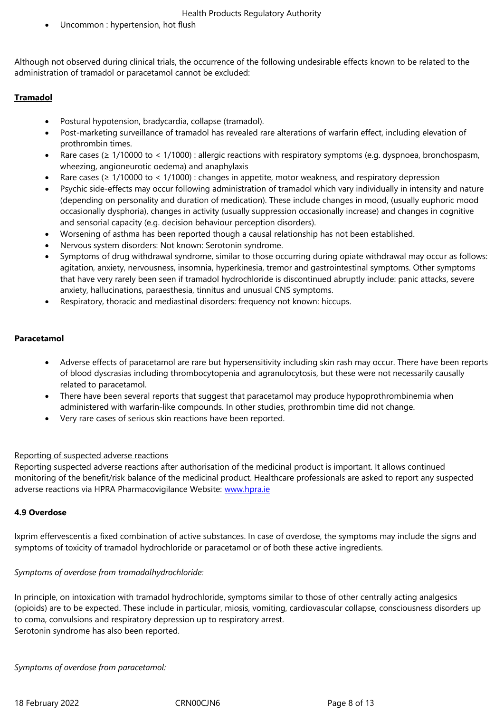Although not observed during clinical trials, the occurrence of the following undesirable effects known to be related to the administration of tramadol or paracetamol cannot be excluded:

# **Tramadol**

- Postural hypotension, bradycardia, collapse (tramadol).
- Post-marketing surveillance of tramadol has revealed rare alterations of warfarin effect, including elevation of prothrombin times.
- Rare cases (≥ 1/10000 to < 1/1000) : allergic reactions with respiratory symptoms (e.g. dyspnoea, bronchospasm, wheezing, angioneurotic oedema) and anaphylaxis
- Rare cases (≥ 1/10000 to < 1/1000) : changes in appetite, motor weakness, and respiratory depression
- Psychic side-effects may occur following administration of tramadol which vary individually in intensity and nature (depending on personality and duration of medication). These include changes in mood, (usually euphoric mood occasionally dysphoria), changes in activity (usually suppression occasionally increase) and changes in cognitive and sensorial capacity (e.g. decision behaviour perception disorders).
- Worsening of asthma has been reported though a causal relationship has not been established.
- Nervous system disorders: Not known: Serotonin syndrome.
- Symptoms of drug withdrawal syndrome, similar to those occurring during opiate withdrawal may occur as follows: agitation, anxiety, nervousness, insomnia, hyperkinesia, tremor and gastrointestinal symptoms. Other symptoms that have very rarely been seen if tramadol hydrochloride is discontinued abruptly include: panic attacks, severe anxiety, hallucinations, paraesthesia, tinnitus and unusual CNS symptoms.
- Respiratory, thoracic and mediastinal disorders: frequency not known: hiccups.

# **Paracetamol**

- Adverse effects of paracetamol are rare but hypersensitivity including skin rash may occur. There have been reports of blood dyscrasias including thrombocytopenia and agranulocytosis, but these were not necessarily causally related to paracetamol.
- There have been several reports that suggest that paracetamol may produce hypoprothrombinemia when administered with warfarin-like compounds. In other studies, prothrombin time did not change.
- Very rare cases of serious skin reactions have been reported.

# Reporting of suspected adverse reactions

Reporting suspected adverse reactions after authorisation of the medicinal product is important. It allows continued monitoring of the benefit/risk balance of the medicinal product. Healthcare professionals are asked to report any suspected adverse reactions via HPRA Pharmacovigilance Website: www.hpra.ie

# **4.9 Overdose**

Ixprim effervescentis a fixed combination of active subst[ances. In case](http://www.hpra.ie/) of overdose, the symptoms may include the signs and symptoms of toxicity of tramadol hydrochloride or paracetamol or of both these active ingredients.

# *Symptoms of overdose from tramadolhydrochloride:*

In principle, on intoxication with tramadol hydrochloride, symptoms similar to those of other centrally acting analgesics (opioids) are to be expected. These include in particular, miosis, vomiting, cardiovascular collapse, consciousness disorders up to coma, convulsions and respiratory depression up to respiratory arrest. Serotonin syndrome has also been reported.

*Symptoms of overdose from paracetamol:*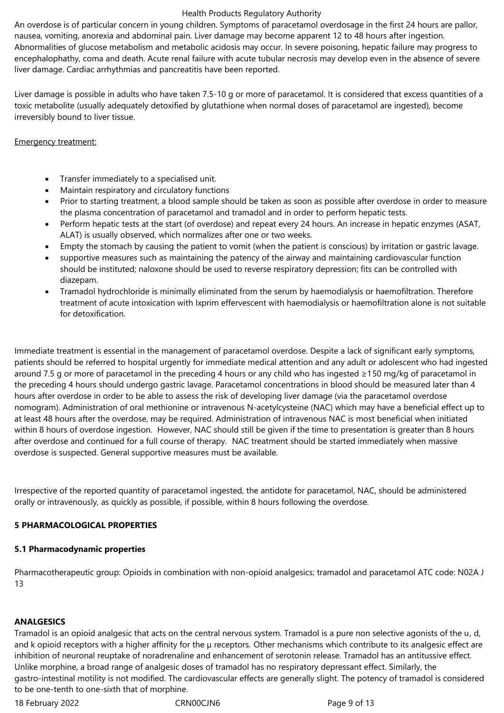An overdose is of particular concern in young children. Symptoms of paracetamol overdosage in the first 24 hours are pallor, nausea, vomiting, anorexia and abdominal pain. Liver damage may become apparent 12 to 48 hours after ingestion. Abnormalities of glucose metabolism and metabolic acidosis may occur. In severe poisoning, hepatic failure may progress to encephalophathy, coma and death. Acute renal failure with acute tubular necrosis may develop even in the absence of severe liver damage. Cardiac arrhythmias and pancreatitis have been reported.

Liver damage is possible in adults who have taken 7.5-10 g or more of paracetamol. It is considered that excess quantities of a toxic metabolite (usually adequately detoxified by glutathione when normal doses of paracetamol are ingested), become irreversibly bound to liver tissue.

#### Emergency treatment:

- Transfer immediately to a specialised unit.
- Maintain respiratory and circulatory functions
- Prior to starting treatment, a blood sample should be taken as soon as possible after overdose in order to measure the plasma concentration of paracetamol and tramadol and in order to perform hepatic tests.
- Perform hepatic tests at the start (of overdose) and repeat every 24 hours. An increase in hepatic enzymes (ASAT, ALAT) is usually observed, which normalizes after one or two weeks.
- Empty the stomach by causing the patient to vomit (when the patient is conscious) by irritation or gastric lavage.
- supportive measures such as maintaining the patency of the airway and maintaining cardiovascular function should be instituted; naloxone should be used to reverse respiratory depression; fits can be controlled with diazepam.
- Tramadol hydrochloride is minimally eliminated from the serum by haemodialysis or haemofiltration. Therefore treatment of acute intoxication with Ixprim effervescent with haemodialysis or haemofiltration alone is not suitable for detoxification.

Immediate treatment is essential in the management of paracetamol overdose. Despite a lack of significant early symptoms, patients should be referred to hospital urgently for immediate medical attention and any adult or adolescent who had ingested around 7.5 g or more of paracetamol in the preceding 4 hours or any child who has ingested ≥150 mg/kg of paracetamol in the preceding 4 hours should undergo gastric lavage. Paracetamol concentrations in blood should be measured later than 4 hours after overdose in order to be able to assess the risk of developing liver damage (via the paracetamol overdose nomogram). Administration of oral methionine or intravenous N-acetylcysteine (NAC) which may have a beneficial effect up to at least 48 hours after the overdose, may be required. Administration of intravenous NAC is most beneficial when initiated within 8 hours of overdose ingestion. However, NAC should still be given if the time to presentation is greater than 8 hours after overdose and continued for a full course of therapy. NAC treatment should be started immediately when massive overdose is suspected. General supportive measures must be available.

Irrespective of the reported quantity of paracetamol ingested, the antidote for paracetamol, NAC, should be administered orally or intravenously, as quickly as possible, if possible, within 8 hours following the overdose.

# **5 PHARMACOLOGICAL PROPERTIES**

#### **5.1 Pharmacodynamic properties**

Pharmacotherapeutic group: Opioids in combination with non-opioid analgesics; tramadol and paracetamol ATC code: N02A J 13

#### **ANALGESICS**

Tramadol is an opioid analgesic that acts on the central nervous system. Tramadol is a pure non selective agonists of the u, d, and k opioid receptors with a higher affinity for the µ receptors. Other mechanisms which contribute to its analgesic effect are inhibition of neuronal reuptake of noradrenaline and enhancement of serotonin release. Tramadol has an antitussive effect. Unlike morphine, a broad range of analgesic doses of tramadol has no respiratory depressant effect. Similarly, the gastro-intestinal motility is not modified. The cardiovascular effects are generally slight. The potency of tramadol is considered to be one-tenth to one-sixth that of morphine.

18 February 2022 CRN00CJN6 Page 9 of 13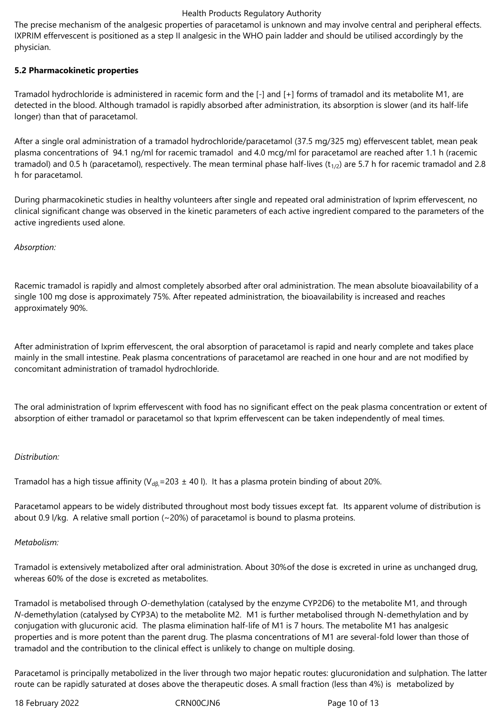The precise mechanism of the analgesic properties of paracetamol is unknown and may involve central and peripheral effects. IXPRIM effervescent is positioned as a step II analgesic in the WHO pain ladder and should be utilised accordingly by the physician.

# **5.2 Pharmacokinetic properties**

Tramadol hydrochloride is administered in racemic form and the [-] and [+] forms of tramadol and its metabolite M1, are detected in the blood. Although tramadol is rapidly absorbed after administration, its absorption is slower (and its half-life longer) than that of paracetamol.

After a single oral administration of a tramadol hydrochloride/paracetamol (37.5 mg/325 mg) effervescent tablet, mean peak plasma concentrations of 94.1 ng/ml for racemic tramadol and 4.0 mcg/ml for paracetamol are reached after 1.1 h (racemic tramadol) and 0.5 h (paracetamol), respectively. The mean terminal phase half-lives ( $t_{1/2}$ ) are 5.7 h for racemic tramadol and 2.8 h for paracetamol.

During pharmacokinetic studies in healthy volunteers after single and repeated oral administration of Ixprim effervescent, no clinical significant change was observed in the kinetic parameters of each active ingredient compared to the parameters of the active ingredients used alone.

# *Absorption:*

Racemic tramadol is rapidly and almost completely absorbed after oral administration. The mean absolute bioavailability of a single 100 mg dose is approximately 75%. After repeated administration, the bioavailability is increased and reaches approximately 90%.

After administration of Ixprim effervescent, the oral absorption of paracetamol is rapid and nearly complete and takes place mainly in the small intestine. Peak plasma concentrations of paracetamol are reached in one hour and are not modified by concomitant administration of tramadol hydrochloride.

The oral administration of Ixprim effervescent with food has no significant effect on the peak plasma concentration or extent of absorption of either tramadol or paracetamol so that Ixprim effervescent can be taken independently of meal times.

# *Distribution:*

Tramadol has a high tissue affinity (V<sub>dβ,</sub>=203 ± 40 l). It has a plasma protein binding of about 20%.

Paracetamol appears to be widely distributed throughout most body tissues except fat. Its apparent volume of distribution is about 0.9 l/kg. A relative small portion (~20%) of paracetamol is bound to plasma proteins.

# *Metabolism:*

Tramadol is extensively metabolized after oral administration. About 30%of the dose is excreted in urine as unchanged drug, whereas 60% of the dose is excreted as metabolites.

Tramadol is metabolised through *O-*demethylation (catalysed by the enzyme CYP2D6) to the metabolite M1, and through *N*-demethylation (catalysed by CYP3A) to the metabolite M2. M1 is further metabolised through N-demethylation and by conjugation with glucuronic acid. The plasma elimination half-life of M1 is 7 hours. The metabolite M1 has analgesic properties and is more potent than the parent drug. The plasma concentrations of M1 are several-fold lower than those of tramadol and the contribution to the clinical effect is unlikely to change on multiple dosing.

Paracetamol is principally metabolized in the liver through two major hepatic routes: glucuronidation and sulphation. The latter route can be rapidly saturated at doses above the therapeutic doses. A small fraction (less than 4%) is metabolized by

18 February 2022 **CRNOOCJN6** CRNOOCJN6 Page 10 of 13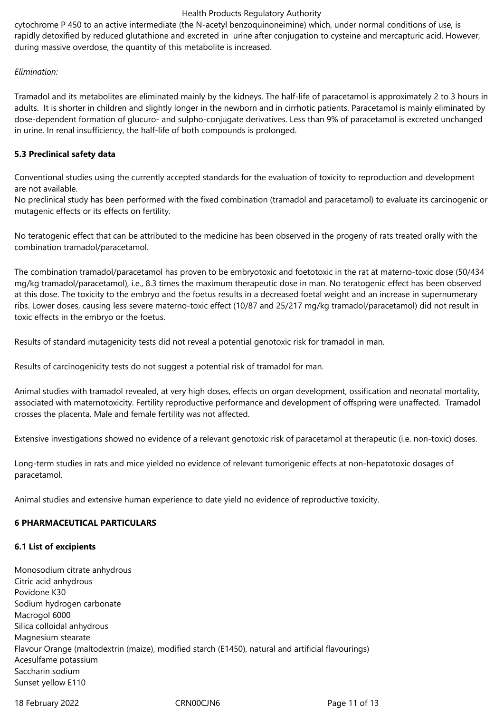cytochrome P 450 to an active intermediate (the N-acetyl benzoquinoneimine) which, under normal conditions of use, is rapidly detoxified by reduced glutathione and excreted in urine after conjugation to cysteine and mercapturic acid. However, during massive overdose, the quantity of this metabolite is increased.

# *Elimination:*

Tramadol and its metabolites are eliminated mainly by the kidneys. The half-life of paracetamol is approximately 2 to 3 hours in adults. It is shorter in children and slightly longer in the newborn and in cirrhotic patients. Paracetamol is mainly eliminated by dose-dependent formation of glucuro- and sulpho-conjugate derivatives. Less than 9% of paracetamol is excreted unchanged in urine. In renal insufficiency, the half-life of both compounds is prolonged.

# **5.3 Preclinical safety data**

Conventional studies using the currently accepted standards for the evaluation of toxicity to reproduction and development are not available.

No preclinical study has been performed with the fixed combination (tramadol and paracetamol) to evaluate its carcinogenic or mutagenic effects or its effects on fertility.

No teratogenic effect that can be attributed to the medicine has been observed in the progeny of rats treated orally with the combination tramadol/paracetamol.

The combination tramadol/paracetamol has proven to be embryotoxic and foetotoxic in the rat at materno-toxic dose (50/434 mg/kg tramadol/paracetamol), i.e., 8.3 times the maximum therapeutic dose in man. No teratogenic effect has been observed at this dose. The toxicity to the embryo and the foetus results in a decreased foetal weight and an increase in supernumerary ribs. Lower doses, causing less severe materno-toxic effect (10/87 and 25/217 mg/kg tramadol/paracetamol) did not result in toxic effects in the embryo or the foetus.

Results of standard mutagenicity tests did not reveal a potential genotoxic risk for tramadol in man.

Results of carcinogenicity tests do not suggest a potential risk of tramadol for man.

Animal studies with tramadol revealed, at very high doses, effects on organ development, ossification and neonatal mortality, associated with maternotoxicity. Fertility reproductive performance and development of offspring were unaffected. Tramadol crosses the placenta. Male and female fertility was not affected.

Extensive investigations showed no evidence of a relevant genotoxic risk of paracetamol at therapeutic (i.e. non-toxic) doses.

Long-term studies in rats and mice yielded no evidence of relevant tumorigenic effects at non-hepatotoxic dosages of paracetamol.

Animal studies and extensive human experience to date yield no evidence of reproductive toxicity.

#### **6 PHARMACEUTICAL PARTICULARS**

#### **6.1 List of excipients**

Monosodium citrate anhydrous Citric acid anhydrous Povidone K30 Sodium hydrogen carbonate Macrogol 6000 Silica colloidal anhydrous Magnesium stearate Flavour Orange (maltodextrin (maize), modified starch (E1450), natural and artificial flavourings) Acesulfame potassium Saccharin sodium Sunset yellow E110

18 February 2022 CRN00CJN6 CRN00CJN6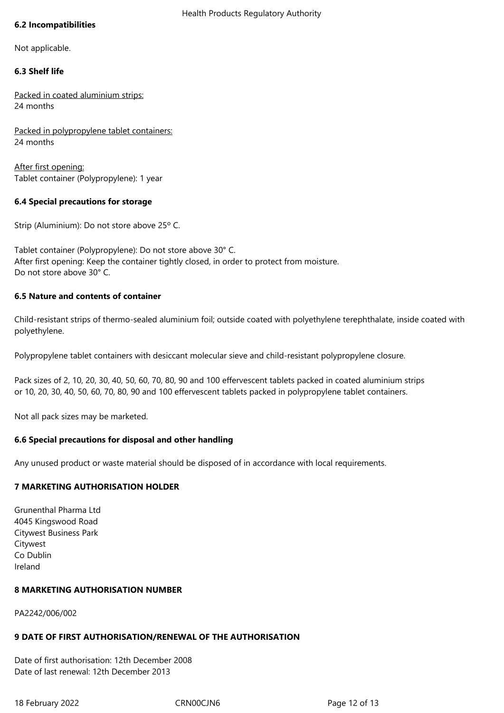# **6.2 Incompatibilities**

Not applicable.

# **6.3 Shelf life**

Packed in coated aluminium strips: 24 months

Packed in polypropylene tablet containers: 24 months

After first opening: Tablet container (Polypropylene): 1 year

# **6.4 Special precautions for storage**

Strip (Aluminium): Do not store above 25º C.

Tablet container (Polypropylene): Do not store above 30° C. After first opening: Keep the container tightly closed, in order to protect from moisture. Do not store above 30° C.

# **6.5 Nature and contents of container**

Child-resistant strips of thermo-sealed aluminium foil; outside coated with polyethylene terephthalate, inside coated with polyethylene.

Polypropylene tablet containers with desiccant molecular sieve and child-resistant polypropylene closure.

Pack sizes of 2, 10, 20, 30, 40, 50, 60, 70, 80, 90 and 100 effervescent tablets packed in coated aluminium strips or 10, 20, 30, 40, 50, 60, 70, 80, 90 and 100 effervescent tablets packed in polypropylene tablet containers.

Not all pack sizes may be marketed.

# **6.6 Special precautions for disposal and other handling**

Any unused product or waste material should be disposed of in accordance with local requirements.

# **7 MARKETING AUTHORISATION HOLDER**

Grunenthal Pharma Ltd 4045 Kingswood Road Citywest Business Park **Citywest** Co Dublin Ireland

# **8 MARKETING AUTHORISATION NUMBER**

PA2242/006/002

# **9 DATE OF FIRST AUTHORISATION/RENEWAL OF THE AUTHORISATION**

Date of first authorisation: 12th December 2008 Date of last renewal: 12th December 2013

18 February 2022 CRN00CJN6 Page 12 of 13